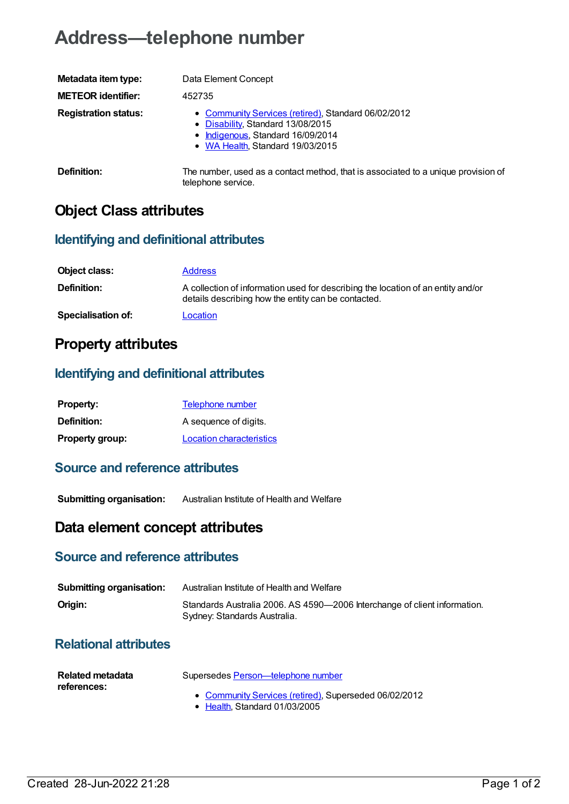# **Address—telephone number**

| Metadata item type:         | Data Element Concept                                                                                                                                              |
|-----------------------------|-------------------------------------------------------------------------------------------------------------------------------------------------------------------|
| <b>METEOR identifier:</b>   | 452735                                                                                                                                                            |
| <b>Registration status:</b> | • Community Services (retired), Standard 06/02/2012<br>• Disability, Standard 13/08/2015<br>• Indigenous, Standard 16/09/2014<br>• WA Health, Standard 19/03/2015 |
| Definition:                 | The number, used as a contact method, that is associated to a unique provision of                                                                                 |

telephone service.

## **Object Class attributes**

#### **Identifying and definitional attributes**

| Object class:             | <b>Address</b>                                                                                                                          |
|---------------------------|-----------------------------------------------------------------------------------------------------------------------------------------|
| <b>Definition:</b>        | A collection of information used for describing the location of an entity and/or<br>details describing how the entity can be contacted. |
| <b>Specialisation of:</b> | Location                                                                                                                                |

## **Property attributes**

#### **Identifying and definitional attributes**

| <b>Property:</b>       | <b>Telephone number</b>         |
|------------------------|---------------------------------|
| <b>Definition:</b>     | A sequence of digits.           |
| <b>Property group:</b> | <b>Location characteristics</b> |

#### **Source and reference attributes**

**Submitting organisation:** Australian Institute of Health and Welfare

### **Data element concept attributes**

#### **Source and reference attributes**

| <b>Submitting organisation:</b> | Australian Institute of Health and Welfare                                                                |  |
|---------------------------------|-----------------------------------------------------------------------------------------------------------|--|
| Origin:                         | Standards Australia 2006. AS 4590-2006 Interchange of client information.<br>Sydney: Standards Australia. |  |

#### **Relational attributes**

| Related metadata | Supersedes Person—telephone number                                                     |
|------------------|----------------------------------------------------------------------------------------|
| references:      | • Community Services (retired), Superseded 06/02/2012<br>• Health, Standard 01/03/2005 |

Created 28-Jun-2022 21:28 Page 1 of 2